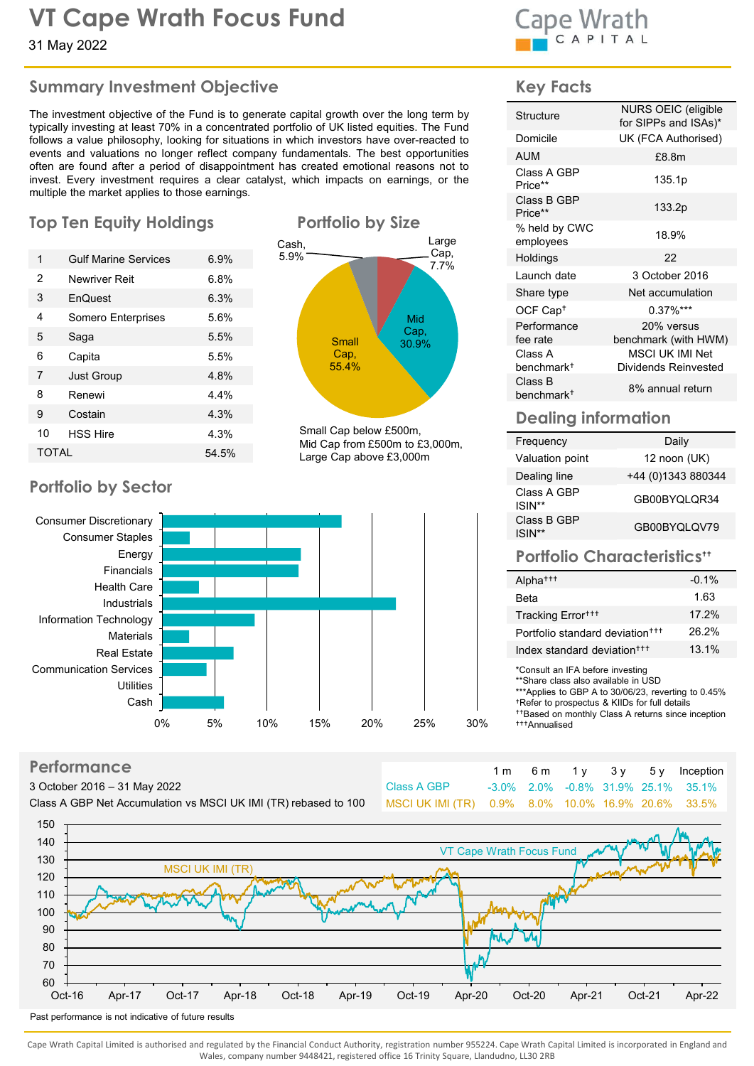# VT Cape Wrath Focus Fund<br>24 May 2022

## Summary Investment Objective

VT Cape Wrath Focus Fund<br>31 May 2022<br>
Summary Investment Objective<br>
The investment objective<br>
The investment objective of the Fund is to generate capital growth over the long term by<br>
typically investing at least 70% in a **VT Cape Wrath Focus Fund**<br>
31 May 2022<br> **Summary Investment Objective**<br>
The investment objective of the Fund is to generate capital growth over the long term by<br>
folious a value philosophy, looking for situations in which **Solution Solution Solution Solution Solution Solution Solution Solution Solution Solution Solution Solution Solution Solution Solution Solution Solution Solution Solution Solution Solution Solution Solution Solution Solut VT Cape Wrath Focus Fund**<br>
Summary Investment Objective<br>
The investment objective<br>
The investment operates capital growth over the long term by<br>
typically investing at least 70% in a concentrated portfolio of UK listed eq **VT Cape Wrath Focus Fund Cape Wrath**<br>
Summary Investment Objective<br>
The investment objective the Fund is to generate capital growth over the long term by<br>
The investment objective of the Fund is to generate capital growth **IT Cape Wrath Focus Fund**<br>
31 May 2022<br>
Summary Investment Objective<br>
The investment objective<br>
The investment objective<br>
The investment objective<br>
The investing at least of the Fund is to generate capital growth over th VT Cape Wrath Focus Fund<br>
Summary Investment Objective<br>
The investment objective<br>
The investment objective of the Fund is to generate capital growth over the long term by<br>
typically investing at least 70% in a concentrated THE CALL THE SERVICE CONSULTER THE SERVICE CONSULTER THE SERVICE CONSULTER THE SERVICE CONSULTER THE SERVICE CONSULTER THE SERVICE CONSULTER THE SERVICE CONSULTER THE SERVICE CONSULTER THE SERVICE CONSULTER THE SERVICE CON The Curst of Capter Minimids of Capter Minimids Save Capter (Capter Save Capter Save Capter Save Capter Save Capter Save Capter Save Capter Save Capter Save Capter Save Capter Save Capter Save Capter Save Capter Save Capte The Capter Minim Services of the Figure of the Based of the Figure of the Figure of the Fund is dependent of the Fund is dependent of the Fund is dependent of the Fund is dependent of the Fund is dependent of the Fund is d The Capital Some of the Function of the Save Capital Sometic Capital Sometic Capital Sometic Capital Sometic Capital Sometic Capital Sometic Capital Sometic Capital Sometic Capital Sometic Capital Sometic Capital Sometic T Cape Wrath Focus Fund<br>
I May 2022<br>
Ummary Investment Objective<br>
New York of the Fund<br>
International stop and star position of the second contribution of the Second CHA of the Second CHA of the Second Chapel international

## Top Ten Equity Holdings **Portfolio by Size**

|                | 31 May 2022                                                                                                                                                                                                                                                                                                                                                                                                                                                                                                                                                                                                        |       |                         |                                                          | <b>CAAL</b><br>CAPIT                                          |                |
|----------------|--------------------------------------------------------------------------------------------------------------------------------------------------------------------------------------------------------------------------------------------------------------------------------------------------------------------------------------------------------------------------------------------------------------------------------------------------------------------------------------------------------------------------------------------------------------------------------------------------------------------|-------|-------------------------|----------------------------------------------------------|---------------------------------------------------------------|----------------|
|                | <b>Summary Investment Objective</b>                                                                                                                                                                                                                                                                                                                                                                                                                                                                                                                                                                                |       |                         |                                                          | <b>Key Facts</b>                                              |                |
|                | The investment objective of the Fund is to generate capital growth over the long term by<br>typically investing at least 70% in a concentrated portfolio of UK listed equities. The Fund<br>follows a value philosophy, looking for situations in which investors have over-reacted to<br>events and valuations no longer reflect company fundamentals. The best opportunities<br>often are found after a period of disappointment has created emotional reasons not to<br>invest. Every investment requires a clear catalyst, which impacts on earnings, or the<br>multiple the market applies to those earnings. |       |                         |                                                          | Structure<br>Domicile<br><b>AUM</b><br>Class A GBP<br>Price** |                |
|                | <b>Top Ten Equity Holdings</b>                                                                                                                                                                                                                                                                                                                                                                                                                                                                                                                                                                                     |       | Cash.                   | <b>Portfolio by Size</b><br>Large                        | Class B GBP<br>Price**<br>% held by CWC<br>employees          |                |
| $\mathbf{1}$   | <b>Gulf Marine Services</b>                                                                                                                                                                                                                                                                                                                                                                                                                                                                                                                                                                                        | 6.9%  | 5.9%                    | Cap,<br>7.7%                                             | Holdings                                                      |                |
| 2              | <b>Newriver Reit</b>                                                                                                                                                                                                                                                                                                                                                                                                                                                                                                                                                                                               | 6.8%  |                         |                                                          | Launch date                                                   |                |
| 3              | EnQuest                                                                                                                                                                                                                                                                                                                                                                                                                                                                                                                                                                                                            | 6.3%  |                         |                                                          | Share type                                                    |                |
| 4              | Somero Enterprises                                                                                                                                                                                                                                                                                                                                                                                                                                                                                                                                                                                                 | 5.6%  |                         | Mid                                                      | OCF Cap <sup>+</sup>                                          |                |
| 5              | Saga                                                                                                                                                                                                                                                                                                                                                                                                                                                                                                                                                                                                               | 5.5%  | <b>Small</b>            | Cap,<br>30.9%                                            | Performance<br>fee rate                                       | b <sub>t</sub> |
| 6              | Capita                                                                                                                                                                                                                                                                                                                                                                                                                                                                                                                                                                                                             | 5.5%  | Cap,                    |                                                          | Class A                                                       |                |
| $\overline{7}$ | <b>Just Group</b>                                                                                                                                                                                                                                                                                                                                                                                                                                                                                                                                                                                                  | 4.8%  | 55.4%                   |                                                          | benchmark <sup>+</sup><br>Class B                             | D              |
| 8              | Renewi                                                                                                                                                                                                                                                                                                                                                                                                                                                                                                                                                                                                             | 4.4%  |                         |                                                          | benchmark <sup>+</sup>                                        |                |
| 9              | Costain                                                                                                                                                                                                                                                                                                                                                                                                                                                                                                                                                                                                            | 4.3%  |                         |                                                          | <b>Dealing inforr</b>                                         |                |
| 10             | <b>HSS Hire</b>                                                                                                                                                                                                                                                                                                                                                                                                                                                                                                                                                                                                    | 4.3%  |                         | Small Cap below £500m,<br>Mid Cap from £500m to £3,000m, | Frequency                                                     |                |
| <b>TOTAL</b>   |                                                                                                                                                                                                                                                                                                                                                                                                                                                                                                                                                                                                                    | 54.5% | Large Cap above £3,000m | Valuation point                                          |                                                               |                |
|                |                                                                                                                                                                                                                                                                                                                                                                                                                                                                                                                                                                                                                    |       |                         |                                                          | Dealing line                                                  |                |
|                | <b>Portfolio by Sector</b>                                                                                                                                                                                                                                                                                                                                                                                                                                                                                                                                                                                         |       |                         |                                                          | Class A GBP<br>$\textsf{ISIN}^{**}$                           |                |
|                |                                                                                                                                                                                                                                                                                                                                                                                                                                                                                                                                                                                                                    |       |                         |                                                          |                                                               |                |





#### **Performance**

| <u>i ciiniiniin c</u>                                           |                                                    |  |  | 1 m 6 m 1 y 3 y 5 y Inception      |
|-----------------------------------------------------------------|----------------------------------------------------|--|--|------------------------------------|
| 3 October 2016 – 31 May 2022                                    | Class A GBP                                        |  |  | -3.0% 2.0% -0.8% 31.9% 25.1% 35.1% |
| Class A GBP Net Accumulation vs MSCI UK IMI (TR) rebased to 100 | MSCI UK IMI (TR) 0.9% 8.0% 10.0% 16.9% 20.6% 33.5% |  |  |                                    |
| $1 - 2$                                                         |                                                    |  |  |                                    |





#### Key Facts

| d                                                           | Cape Wrath                                  |                                             |
|-------------------------------------------------------------|---------------------------------------------|---------------------------------------------|
|                                                             | <b>Key Facts</b>                            |                                             |
| prowth over the long term by                                | Structure                                   | NURS OEIC (eligible<br>for SIPPs and ISAs)* |
| UK listed equities. The Fund<br>estors have over-reacted to | Domicile                                    | UK (FCA Authorised)                         |
| tals. The best opportunities                                | <b>AUM</b>                                  | £8.8m                                       |
| ed emotional reasons not to<br>mpacts on earnings, or the   | Class A GBP<br>Price**                      | 135.1p                                      |
|                                                             | Class B GBP<br>Price**                      | 133.2p                                      |
| <b>Folio by Size</b><br>Large                               | % held by CWC<br>employees                  | 18.9%                                       |
| Cap,                                                        | Holdings                                    | 22                                          |
| 7.7%                                                        | Launch date                                 | 3 October 2016                              |
|                                                             | Share type                                  | Net accumulation                            |
| Mid                                                         | OCF Cap <sup>+</sup>                        | $0.37\%$ ***                                |
| Cap,                                                        | Performance<br>fee rate                     | 20% versus<br>benchmark (with HWM)          |
| <b>Small</b><br>30.9%<br>Cap,                               | Class A                                     | MSCI UK IMI Net                             |
| 55.4%                                                       | benchmark <sup>+</sup>                      | <b>Dividends Reinvested</b>                 |
|                                                             | Class B<br>benchmark <sup>+</sup>           | 8% annual return                            |
|                                                             | <b>Dealing information</b>                  |                                             |
| Cap below £500m,<br>ap from £500m to £3,000m,               | Frequency                                   | Daily                                       |
| Cap above £3,000m                                           | Valuation point                             | 12 noon (UK)                                |
|                                                             | Dealing line                                | +44 (0)1343 880344                          |
|                                                             | Class A GBP<br>ISIN**                       | GB00BYQLQR34                                |
|                                                             | Class B GBP<br>ISIN**                       | GB00BYQLQV79                                |
|                                                             |                                             | <b>Portfolio Characteristics**</b>          |
|                                                             | Alpha <sup>+++</sup>                        | $-0.1%$                                     |
|                                                             | Beta                                        | 1.63                                        |
|                                                             | Tracking Error <sup>+++</sup>               | 17.2%                                       |
|                                                             | Portfolio standard deviation <sup>+++</sup> | 26.2%                                       |

## Dealing information

| ιv<br>1991 111 6                           | יש שיי | Mid Cap from £500m to £3,000m, | Frequency             | Daily               |
|--------------------------------------------|--------|--------------------------------|-----------------------|---------------------|
| TOTAL                                      | 54.5%  | Large Cap above £3,000m        | Valuation point       | 12 noon (UK)        |
|                                            |        |                                | Dealing line          | +44 (0) 1343 880344 |
| ortfolio by Sector                         |        |                                | Class A GBP<br>ISIN** | GB00BYQLQR34        |
| Consumer Discretionary<br>Consumer Stanles |        |                                | Class B GBP<br>ISIN** | GB00BYQLQV79        |

|                        | tee rate<br>Class A                                                                                                                                               |                           |                    |    | benchmark (with HWM)<br>MSCI UK IMI Net                                                                               |
|------------------------|-------------------------------------------------------------------------------------------------------------------------------------------------------------------|---------------------------|--------------------|----|-----------------------------------------------------------------------------------------------------------------------|
|                        | benchmark <sup>+</sup>                                                                                                                                            |                           |                    |    | <b>Dividends Reinvested</b>                                                                                           |
|                        | Class B<br>benchmark <sup>+</sup>                                                                                                                                 |                           |                    |    | 8% annual return                                                                                                      |
|                        | <b>Dealing information</b>                                                                                                                                        |                           |                    |    |                                                                                                                       |
|                        | Frequency                                                                                                                                                         |                           |                    |    | Daily                                                                                                                 |
|                        | Valuation point                                                                                                                                                   |                           |                    |    | 12 noon (UK)                                                                                                          |
|                        | Dealing line                                                                                                                                                      |                           | +44 (0)1343 880344 |    |                                                                                                                       |
|                        | Class A GBP<br>ISIN**                                                                                                                                             |                           | GB00BYQLQR34       |    |                                                                                                                       |
|                        | Class B GBP<br>ISIN**                                                                                                                                             |                           | GB00BYQLQV79       |    |                                                                                                                       |
|                        | <b>Portfolio Characteristics"</b>                                                                                                                                 |                           |                    |    |                                                                                                                       |
|                        | Alpha <sup>+++</sup>                                                                                                                                              |                           |                    |    | $-0.1%$                                                                                                               |
|                        | <b>Beta</b>                                                                                                                                                       |                           |                    |    | 1.63                                                                                                                  |
|                        | Tracking Error <sup>+++</sup>                                                                                                                                     |                           |                    |    | 17.2%                                                                                                                 |
|                        | Portfolio standard deviation <sup>+++</sup>                                                                                                                       |                           |                    |    | 26.2%                                                                                                                 |
|                        | Index standard deviation <sup>+++</sup>                                                                                                                           |                           |                    |    | 13.1%                                                                                                                 |
|                        | *Consult an IFA before investing<br>**Share class also available in USD<br><sup>+</sup> Refer to prospectus & KIIDs for full details<br><sup>+++</sup> Annualised |                           |                    |    | ***Applies to GBP A to 30/06/23, reverting to 0.45%<br><sup>++</sup> Based on monthly Class A returns since inception |
|                        |                                                                                                                                                                   |                           |                    |    |                                                                                                                       |
| 1 <sub>m</sub><br>3.0% | 6 m<br>2.0%                                                                                                                                                       | 1 <sub>y</sub><br>$-0.8%$ | 3y<br>31.9% 25.1%  | 5y | Inception<br>35.1%                                                                                                    |
| $0.9\%$                | 8.0%                                                                                                                                                              |                           | 10.0% 16.9% 20.6%  |    | 33.5%                                                                                                                 |
|                        |                                                                                                                                                                   |                           |                    |    |                                                                                                                       |
|                        |                                                                                                                                                                   |                           |                    |    |                                                                                                                       |
|                        | <b><i><u>Irath Focus Fund</u></i></b>                                                                                                                             |                           | was d              |    |                                                                                                                       |

Cape Wrath Capital Limited is authorised and regulated by the Financial Conduct Authority, registration number 955224. Cape Wrath Capital Limited is incorporated in England and Wales, company number 9448421, registered office 16 Trinity Square, Llandudno, LL30 2RB